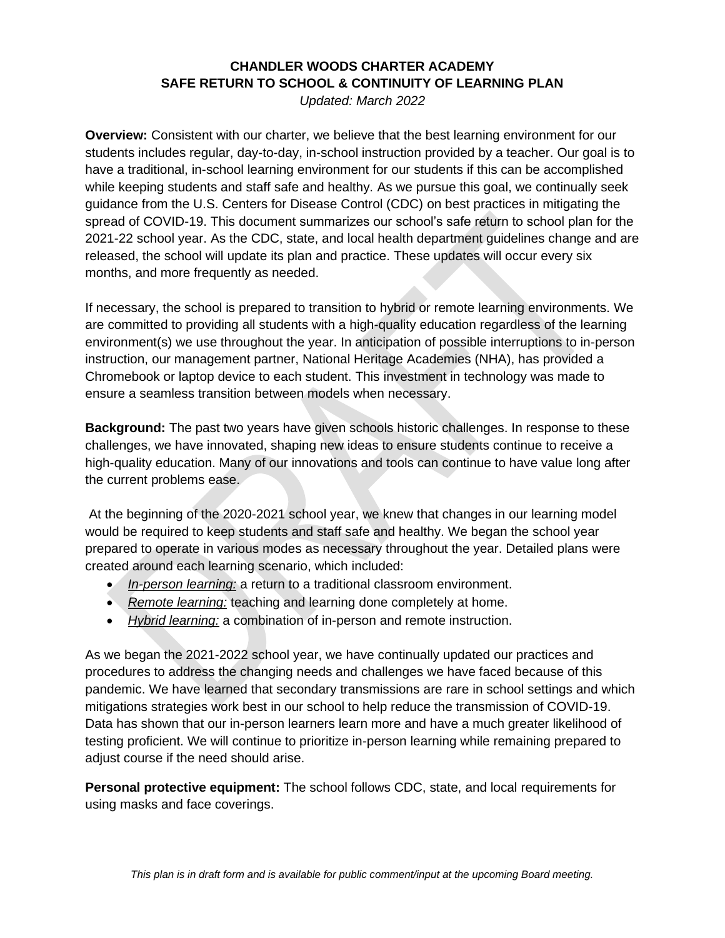## **CHANDLER WOODS CHARTER ACADEMY SAFE RETURN TO SCHOOL & CONTINUITY OF LEARNING PLAN**

*Updated: March 2022*

**Overview:** Consistent with our charter, we believe that the best learning environment for our students includes regular, day-to-day, in-school instruction provided by a teacher. Our goal is to have a traditional, in-school learning environment for our students if this can be accomplished while keeping students and staff safe and healthy. As we pursue this goal, we continually seek guidance from the U.S. Centers for Disease Control (CDC) on best practices in mitigating the spread of COVID-19. This document summarizes our school's safe return to school plan for the 2021-22 school year. As the CDC, state, and local health department guidelines change and are released, the school will update its plan and practice. These updates will occur every six months, and more frequently as needed.

If necessary, the school is prepared to transition to hybrid or remote learning environments. We are committed to providing all students with a high-quality education regardless of the learning environment(s) we use throughout the year. In anticipation of possible interruptions to in-person instruction, our management partner, National Heritage Academies (NHA), has provided a Chromebook or laptop device to each student. This investment in technology was made to ensure a seamless transition between models when necessary.

**Background:** The past two years have given schools historic challenges. In response to these challenges, we have innovated, shaping new ideas to ensure students continue to receive a high-quality education. Many of our innovations and tools can continue to have value long after the current problems ease.

At the beginning of the 2020-2021 school year, we knew that changes in our learning model would be required to keep students and staff safe and healthy. We began the school year prepared to operate in various modes as necessary throughout the year. Detailed plans were created around each learning scenario, which included:

- *In-person learning:* a return to a traditional classroom environment.
- *Remote learning:* teaching and learning done completely at home.
- *Hybrid learning:* a combination of in-person and remote instruction.

As we began the 2021-2022 school year, we have continually updated our practices and procedures to address the changing needs and challenges we have faced because of this pandemic. We have learned that secondary transmissions are rare in school settings and which mitigations strategies work best in our school to help reduce the transmission of COVID-19. Data has shown that our in-person learners learn more and have a much greater likelihood of testing proficient. We will continue to prioritize in-person learning while remaining prepared to adjust course if the need should arise.

**Personal protective equipment:** The school follows CDC, state, and local requirements for using masks and face coverings.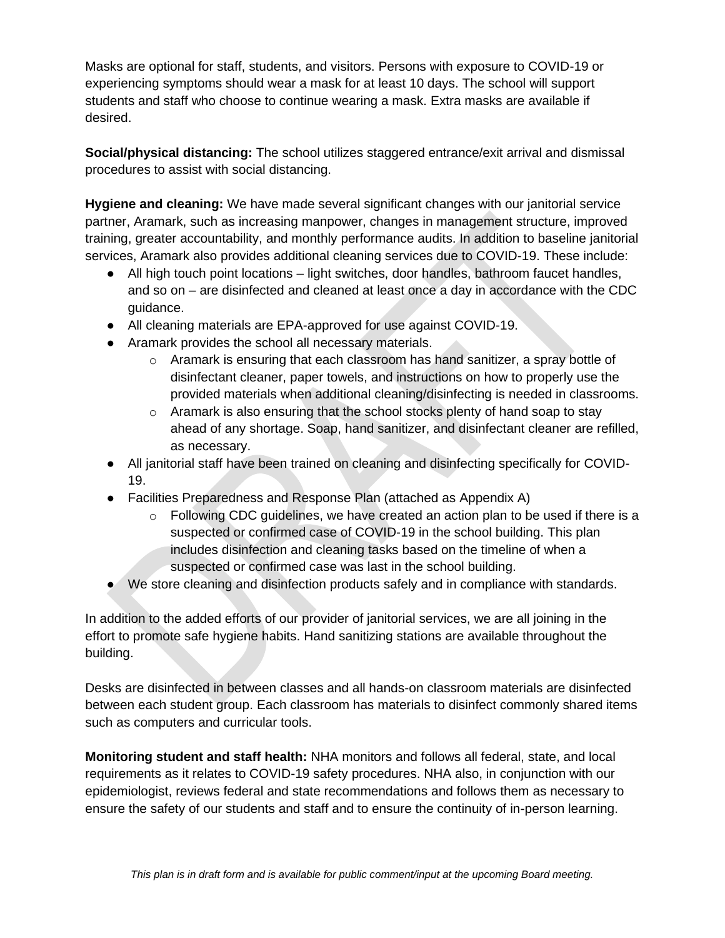Masks are optional for staff, students, and visitors. Persons with exposure to COVID-19 or experiencing symptoms should wear a mask for at least 10 days. The school will support students and staff who choose to continue wearing a mask. Extra masks are available if desired.

**Social/physical distancing:** The school utilizes staggered entrance/exit arrival and dismissal procedures to assist with social distancing.

**Hygiene and cleaning:** We have made several significant changes with our janitorial service partner, Aramark, such as increasing manpower, changes in management structure, improved training, greater accountability, and monthly performance audits. In addition to baseline janitorial services, Aramark also provides additional cleaning services due to COVID-19. These include:

- All high touch point locations light switches, door handles, bathroom faucet handles, and so on – are disinfected and cleaned at least once a day in accordance with the CDC guidance.
- All cleaning materials are EPA-approved for use against COVID-19.
- Aramark provides the school all necessary materials.
	- $\circ$  Aramark is ensuring that each classroom has hand sanitizer, a spray bottle of disinfectant cleaner, paper towels, and instructions on how to properly use the provided materials when additional cleaning/disinfecting is needed in classrooms.
	- $\circ$  Aramark is also ensuring that the school stocks plenty of hand soap to stay ahead of any shortage. Soap, hand sanitizer, and disinfectant cleaner are refilled, as necessary.
- All janitorial staff have been trained on cleaning and disinfecting specifically for COVID-19.
- Facilities Preparedness and Response Plan (attached as Appendix A)
	- $\circ$  Following CDC guidelines, we have created an action plan to be used if there is a suspected or confirmed case of COVID-19 in the school building. This plan includes disinfection and cleaning tasks based on the timeline of when a suspected or confirmed case was last in the school building.
- We store cleaning and disinfection products safely and in compliance with standards.

In addition to the added efforts of our provider of janitorial services, we are all joining in the effort to promote safe hygiene habits. Hand sanitizing stations are available throughout the building.

Desks are disinfected in between classes and all hands-on classroom materials are disinfected between each student group. Each classroom has materials to disinfect commonly shared items such as computers and curricular tools.

**Monitoring student and staff health:** NHA monitors and follows all federal, state, and local requirements as it relates to COVID-19 safety procedures. NHA also, in conjunction with our epidemiologist, reviews federal and state recommendations and follows them as necessary to ensure the safety of our students and staff and to ensure the continuity of in-person learning.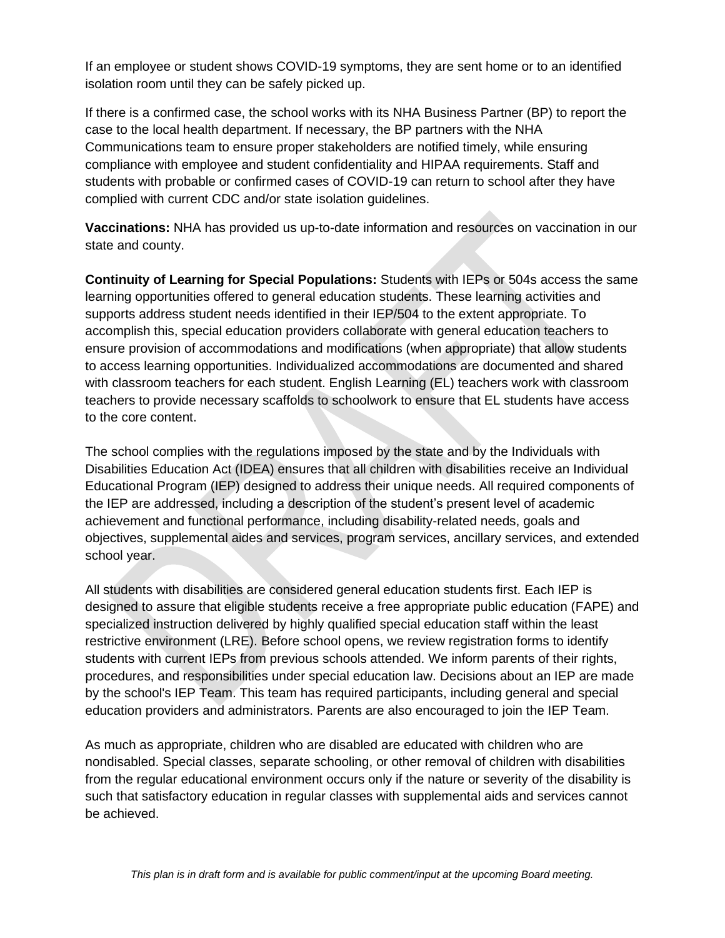If an employee or student shows COVID-19 symptoms, they are sent home or to an identified isolation room until they can be safely picked up.

If there is a confirmed case, the school works with its NHA Business Partner (BP) to report the case to the local health department. If necessary, the BP partners with the NHA Communications team to ensure proper stakeholders are notified timely, while ensuring compliance with employee and student confidentiality and HIPAA requirements. Staff and students with probable or confirmed cases of COVID-19 can return to school after they have complied with current CDC and/or state isolation guidelines.

**Vaccinations:** NHA has provided us up-to-date information and resources on vaccination in our state and county.

**Continuity of Learning for Special Populations:** Students with IEPs or 504s access the same learning opportunities offered to general education students. These learning activities and supports address student needs identified in their IEP/504 to the extent appropriate. To accomplish this, special education providers collaborate with general education teachers to ensure provision of accommodations and modifications (when appropriate) that allow students to access learning opportunities. Individualized accommodations are documented and shared with classroom teachers for each student. English Learning (EL) teachers work with classroom teachers to provide necessary scaffolds to schoolwork to ensure that EL students have access to the core content.

The school complies with the regulations imposed by the state and by the Individuals with Disabilities Education Act (IDEA) ensures that all children with disabilities receive an Individual Educational Program (IEP) designed to address their unique needs. All required components of the IEP are addressed, including a description of the student's present level of academic achievement and functional performance, including disability-related needs, goals and objectives, supplemental aides and services, program services, ancillary services, and extended school year.

All students with disabilities are considered general education students first. Each IEP is designed to assure that eligible students receive a free appropriate public education (FAPE) and specialized instruction delivered by highly qualified special education staff within the least restrictive environment (LRE). Before school opens, we review registration forms to identify students with current IEPs from previous schools attended. We inform parents of their rights, procedures, and responsibilities under special education law. Decisions about an IEP are made by the school's IEP Team. This team has required participants, including general and special education providers and administrators. Parents are also encouraged to join the IEP Team.

As much as appropriate, children who are disabled are educated with children who are nondisabled. Special classes, separate schooling, or other removal of children with disabilities from the regular educational environment occurs only if the nature or severity of the disability is such that satisfactory education in regular classes with supplemental aids and services cannot be achieved.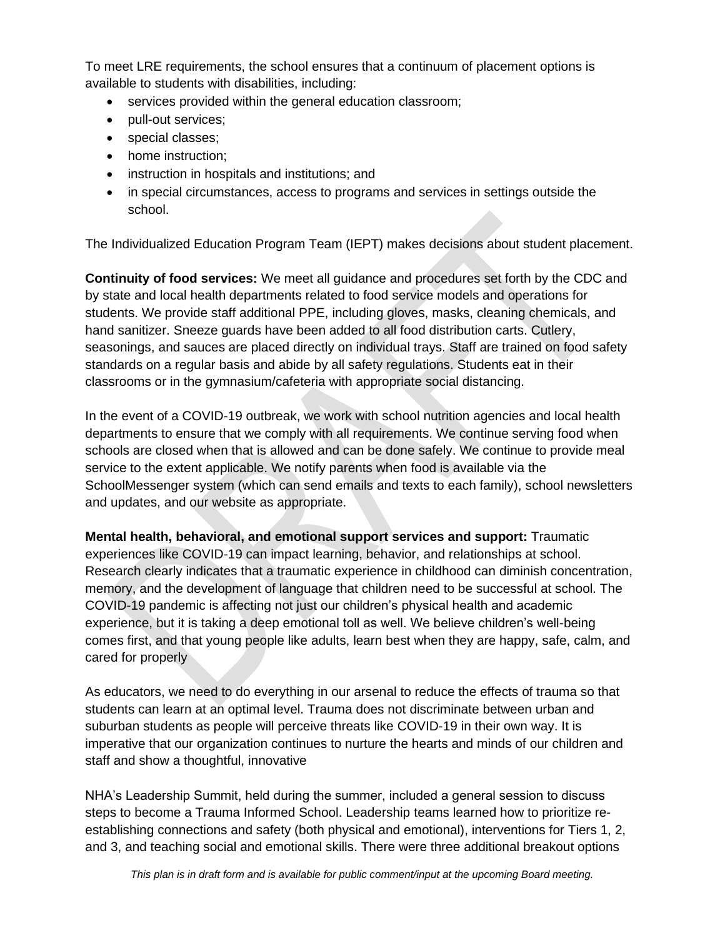To meet LRE requirements, the school ensures that a continuum of placement options is available to students with disabilities, including:

- services provided within the general education classroom;
- pull-out services;
- special classes;
- home instruction;
- instruction in hospitals and institutions; and
- in special circumstances, access to programs and services in settings outside the school.

The Individualized Education Program Team (IEPT) makes decisions about student placement.

**Continuity of food services:** We meet all guidance and procedures set forth by the CDC and by state and local health departments related to food service models and operations for students. We provide staff additional PPE, including gloves, masks, cleaning chemicals, and hand sanitizer. Sneeze guards have been added to all food distribution carts. Cutlery, seasonings, and sauces are placed directly on individual trays. Staff are trained on food safety standards on a regular basis and abide by all safety regulations. Students eat in their classrooms or in the gymnasium/cafeteria with appropriate social distancing.

In the event of a COVID-19 outbreak, we work with school nutrition agencies and local health departments to ensure that we comply with all requirements. We continue serving food when schools are closed when that is allowed and can be done safely. We continue to provide meal service to the extent applicable. We notify parents when food is available via the SchoolMessenger system (which can send emails and texts to each family), school newsletters and updates, and our website as appropriate.

**Mental health, behavioral, and emotional support services and support:** Traumatic

experiences like COVID-19 can impact learning, behavior, and relationships at school. Research clearly indicates that a traumatic experience in childhood can diminish concentration, memory, and the development of language that children need to be successful at school. The COVID-19 pandemic is affecting not just our children's physical health and academic experience, but it is taking a deep emotional toll as well. We believe children's well-being comes first, and that young people like adults, learn best when they are happy, safe, calm, and cared for properly

As educators, we need to do everything in our arsenal to reduce the effects of trauma so that students can learn at an optimal level. Trauma does not discriminate between urban and suburban students as people will perceive threats like COVID-19 in their own way. It is imperative that our organization continues to nurture the hearts and minds of our children and staff and show a thoughtful, innovative

NHA's Leadership Summit, held during the summer, included a general session to discuss steps to become a Trauma Informed School. Leadership teams learned how to prioritize reestablishing connections and safety (both physical and emotional), interventions for Tiers 1, 2, and 3, and teaching social and emotional skills. There were three additional breakout options